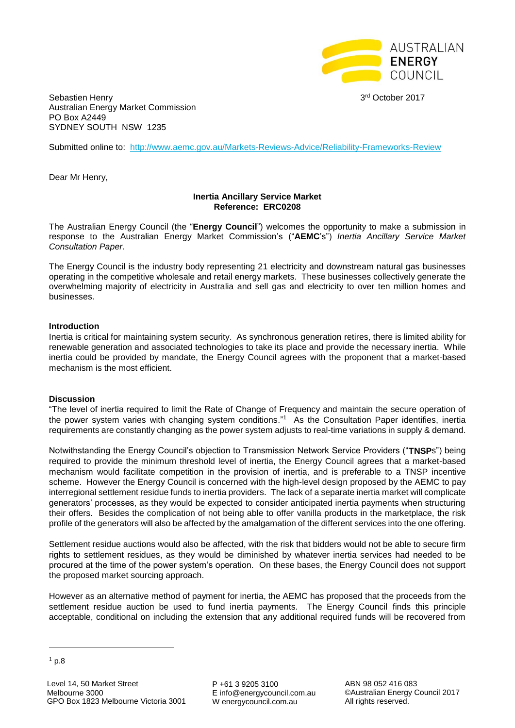

3rd October 2017

Sebastien Henry Australian Energy Market Commission PO Box A2449 SYDNEY SOUTH NSW 1235

Submitted online to: <http://www.aemc.gov.au/Markets-Reviews-Advice/Reliability-Frameworks-Review>

Dear Mr Henry,

## **Inertia Ancillary Service Market Reference: ERC0208**

The Australian Energy Council (the "**Energy Council**") welcomes the opportunity to make a submission in response to the Australian Energy Market Commission's ("**AEMC**'s") *Inertia Ancillary Service Market Consultation Paper*.

The Energy Council is the industry body representing 21 electricity and downstream natural gas businesses operating in the competitive wholesale and retail energy markets. These businesses collectively generate the overwhelming majority of electricity in Australia and sell gas and electricity to over ten million homes and businesses.

## **Introduction**

Inertia is critical for maintaining system security. As synchronous generation retires, there is limited ability for renewable generation and associated technologies to take its place and provide the necessary inertia. While inertia could be provided by mandate, the Energy Council agrees with the proponent that a market-based mechanism is the most efficient.

## **Discussion**

"The level of inertia required to limit the Rate of Change of Frequency and maintain the secure operation of the power system varies with changing system conditions." 1 As the Consultation Paper identifies, inertia requirements are constantly changing as the power system adjusts to real-time variations in supply & demand.

Notwithstanding the Energy Council's objection to Transmission Network Service Providers ("**TNSP**s") being required to provide the minimum threshold level of inertia, the Energy Council agrees that a market-based mechanism would facilitate competition in the provision of inertia, and is preferable to a TNSP incentive scheme. However the Energy Council is concerned with the high-level design proposed by the AEMC to pay interregional settlement residue funds to inertia providers. The lack of a separate inertia market will complicate generators' processes, as they would be expected to consider anticipated inertia payments when structuring their offers. Besides the complication of not being able to offer vanilla products in the marketplace, the risk profile of the generators will also be affected by the amalgamation of the different services into the one offering.

Settlement residue auctions would also be affected, with the risk that bidders would not be able to secure firm rights to settlement residues, as they would be diminished by whatever inertia services had needed to be procured at the time of the power system's operation. On these bases, the Energy Council does not support the proposed market sourcing approach.

However as an alternative method of payment for inertia, the AEMC has proposed that the proceeds from the settlement residue auction be used to fund inertia payments. The Energy Council finds this principle acceptable, conditional on including the extension that any additional required funds will be recovered from

 $\overline{a}$ 

P +61 3 9205 3100 E info@energycouncil.com.au W energycouncil.com.au

ABN 98 052 416 083 ©Australian Energy Council 2017 All rights reserved.

 $1$  p.8